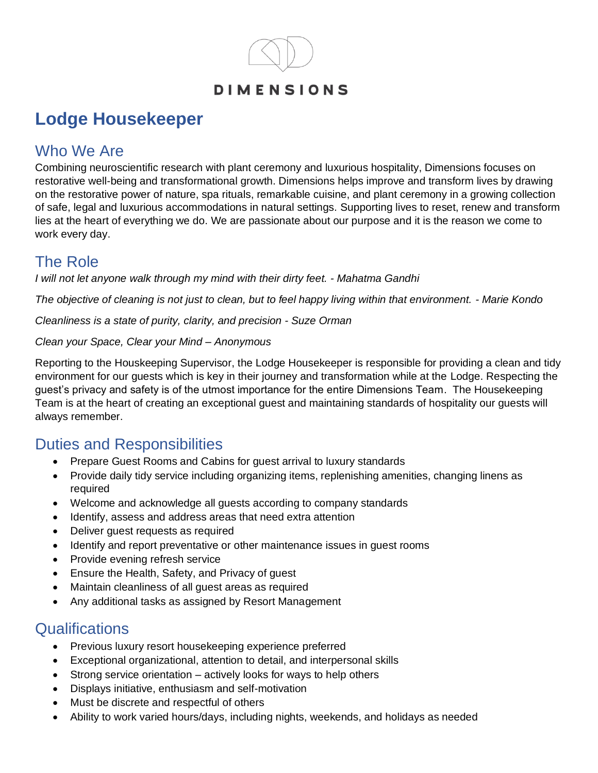

# **Lodge Housekeeper**

# Who We Are

Combining neuroscientific research with plant ceremony and luxurious hospitality, Dimensions focuses on restorative well-being and transformational growth. Dimensions helps improve and transform lives by drawing on the restorative power of nature, spa rituals, remarkable cuisine, and plant ceremony in a growing collection of safe, legal and luxurious accommodations in natural settings. Supporting lives to reset, renew and transform lies at the heart of everything we do. We are passionate about our purpose and it is the reason we come to work every day.

# The Role

*I will not let anyone walk through my mind with their dirty feet. - Mahatma Gandhi*

*The objective of cleaning is not just to clean, but to feel happy living within that environment. - Marie Kondo*

*Cleanliness is a state of purity, clarity, and precision - Suze Orman*

#### *Clean your Space, Clear your Mind – Anonymous*

Reporting to the Houskeeping Supervisor, the Lodge Housekeeper is responsible for providing a clean and tidy environment for our guests which is key in their journey and transformation while at the Lodge. Respecting the guest's privacy and safety is of the utmost importance for the entire Dimensions Team. The Housekeeping Team is at the heart of creating an exceptional guest and maintaining standards of hospitality our guests will always remember.

### Duties and Responsibilities

- Prepare Guest Rooms and Cabins for guest arrival to luxury standards
- Provide daily tidy service including organizing items, replenishing amenities, changing linens as required
- Welcome and acknowledge all guests according to company standards
- Identify, assess and address areas that need extra attention
- Deliver guest requests as required
- Identify and report preventative or other maintenance issues in guest rooms
- Provide evening refresh service
- Ensure the Health, Safety, and Privacy of guest
- Maintain cleanliness of all guest areas as required
- Any additional tasks as assigned by Resort Management

### **Qualifications**

- Previous luxury resort housekeeping experience preferred
- Exceptional organizational, attention to detail, and interpersonal skills
- Strong service orientation actively looks for ways to help others
- Displays initiative, enthusiasm and self-motivation
- Must be discrete and respectful of others
- Ability to work varied hours/days, including nights, weekends, and holidays as needed